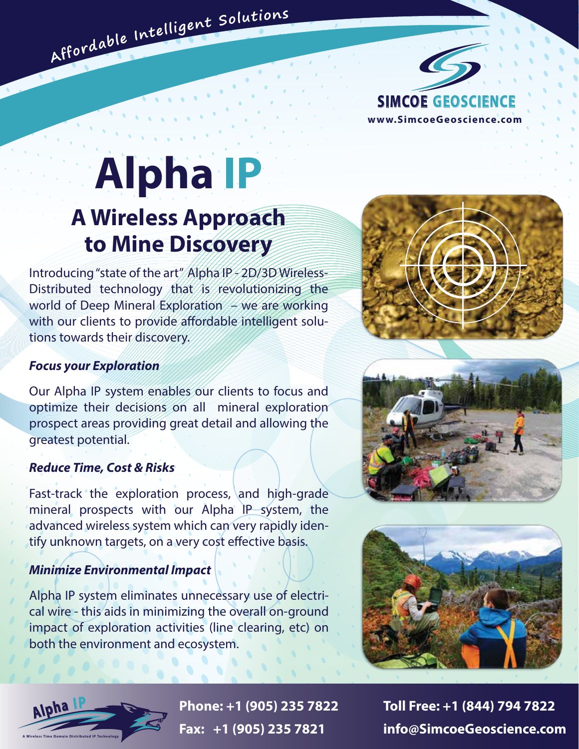

# **Alpha IP A Wireless Approach to Mine Discovery**

Affordable Intelligent Solutions

Introducing "state of the art" Alpha IP - 2D/3D Wireless-Distributed technology that is revolutionizing the world of Deep Mineral Exploration  $\rightarrow$  we are working with our clients to provide affordable intelligent solutions towards their discovery.

#### *Focus your Exploration*

Our Alpha IP system enables our clients to focus and optimize their decisions on all mineral exploration prospect areas providing great detail and allowing the greatest potential.

#### *Reduce Time, Cost & Risks*

Fast-track the exploration process, and high-grade mineral prospects with our Alpha IP system, the advanced wireless system which can very rapidly identify unknown targets, on a very cost effective basis.

#### *Minimize Environmental Impact*

Alpha IP system eliminates unnecessary use of electrical wire - this aids in minimizing the overall on-ground impact of exploration activities (line clearing, etc) on both the environment and ecosystem.









**Phone: +1 (905) 235 7822 Toll Free: +1 (844) 794 7822 Fax: +1 (905) 235 7821 info@SimcoeGeoscience.com**